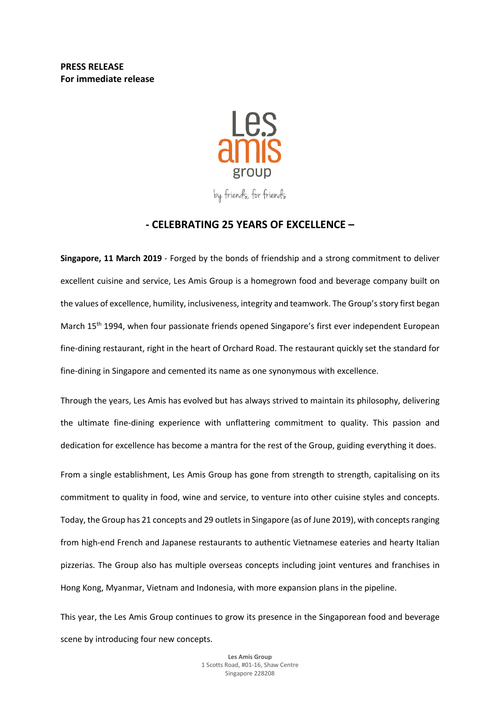**PRESS RELEASE For immediate release**



by friends, for friends

# **- CELEBRATING 25 YEARS OF EXCELLENCE –**

**Singapore, 11 March 2019** - Forged by the bonds of friendship and a strong commitment to deliver excellent cuisine and service, Les Amis Group is a homegrown food and beverage company built on the values of excellence, humility, inclusiveness, integrity and teamwork. The Group'sstory first began March 15<sup>th</sup> 1994, when four passionate friends opened Singapore's first ever independent European fine-dining restaurant, right in the heart of Orchard Road. The restaurant quickly set the standard for fine-dining in Singapore and cemented its name as one synonymous with excellence.

Through the years, Les Amis has evolved but has always strived to maintain its philosophy, delivering the ultimate fine-dining experience with unflattering commitment to quality. This passion and dedication for excellence has become a mantra for the rest of the Group, guiding everything it does.

From a single establishment, Les Amis Group has gone from strength to strength, capitalising on its commitment to quality in food, wine and service, to venture into other cuisine styles and concepts. Today, the Group has 21 concepts and 29 outletsin Singapore (as of June 2019), with conceptsranging from high-end French and Japanese restaurants to authentic Vietnamese eateries and hearty Italian pizzerias. The Group also has multiple overseas concepts including joint ventures and franchises in Hong Kong, Myanmar, Vietnam and Indonesia, with more expansion plans in the pipeline.

This year, the Les Amis Group continues to grow its presence in the Singaporean food and beverage scene by introducing four new concepts.

> **Les Amis Group** 1 Scotts Road, #01-16, Shaw Centre Singapore 228208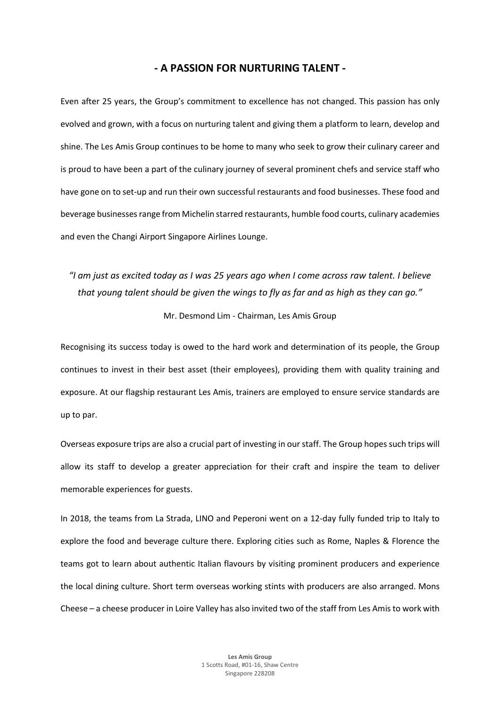# **- A PASSION FOR NURTURING TALENT -**

Even after 25 years, the Group's commitment to excellence has not changed. This passion has only evolved and grown, with a focus on nurturing talent and giving them a platform to learn, develop and shine. The Les Amis Group continues to be home to many who seek to grow their culinary career and is proud to have been a part of the culinary journey of several prominent chefs and service staff who have gone on to set-up and run their own successful restaurants and food businesses. These food and beverage businessesrange from Michelin starred restaurants, humble food courts, culinary academies and even the Changi Airport Singapore Airlines Lounge.

"I am just as excited today as I was 25 years ago when I come across raw talent. I believe that young talent should be given the wings to fly as far and as high as they can go."

Mr. Desmond Lim - Chairman, Les Amis Group

Recognising its success today is owed to the hard work and determination of its people, the Group continues to invest in their best asset (their employees), providing them with quality training and exposure. At our flagship restaurant Les Amis, trainers are employed to ensure service standards are up to par.

Overseas exposure trips are also a crucial part of investing in ourstaff. The Group hopes such trips will allow its staff to develop a greater appreciation for their craft and inspire the team to deliver memorable experiences for guests.

In 2018, the teams from La Strada, LINO and Peperoni went on a 12-day fully funded trip to Italy to explore the food and beverage culture there. Exploring cities such as Rome, Naples & Florence the teams got to learn about authentic Italian flavours by visiting prominent producers and experience the local dining culture. Short term overseas working stints with producers are also arranged. Mons Cheese – a cheese producer in Loire Valley has also invited two of the staff from Les Amis to work with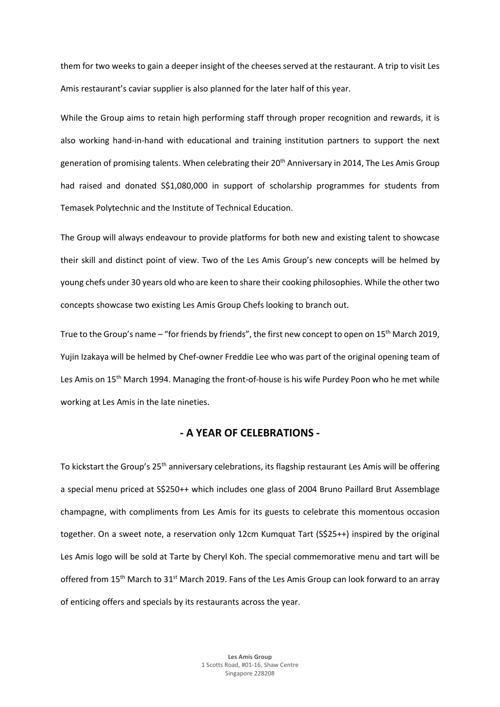them for two weeks to gain a deeper insight of the cheeses served at the restaurant. A trip to visit Les Amis restaurant's caviar supplier is also planned for the later half of this year.

While the Group aims to retain high performing staff through proper recognition and rewards, it is also working hand-in-hand with educational and training institution partners to support the next generation of promising talents. When celebrating their 20<sup>th</sup> Anniversary in 2014, The Les Amis Group had raised and donated S\$1,080,000 in support of scholarship programmes for students from Temasek Polytechnic and the Institute of Technical Education.

The Group will always endeavour to provide platforms for both new and existing talent to showcase their skill and distinct point of view. Two of the Les Amis Group's new concepts will be helmed by young chefs under 30 years old who are keen to share their cooking philosophies. While the other two concepts showcase two existing Les Amis Group Chefs looking to branch out.

True to the Group's name – "for friends by friends", the first new concept to open on  $15<sup>th</sup>$  March 2019, Yujin Izakaya will be helmed by Chef-owner Freddie Lee who was part of the original opening team of Les Amis on 15<sup>th</sup> March 1994. Managing the front-of-house is his wife Purdey Poon who he met while working at Les Amis in the late nineties.

# **- A YEAR OF CELEBRATIONS -**

To kickstart the Group's 25<sup>th</sup> anniversary celebrations, its flagship restaurant Les Amis will be offering a special menu priced at S\$250++ which includes one glass of 2004 Bruno Paillard Brut Assemblage champagne, with compliments from Les Amis for its guests to celebrate this momentous occasion together. On a sweet note, a reservation only 12cm Kumquat Tart (S\$25++) inspired by the original Les Amis logo will be sold at Tarte by Cheryl Koh. The special commemorative menu and tart will be offered from 15<sup>th</sup> March to 31<sup>st</sup> March 2019. Fans of the Les Amis Group can look forward to an array of enticing offers and specials by its restaurants across the year.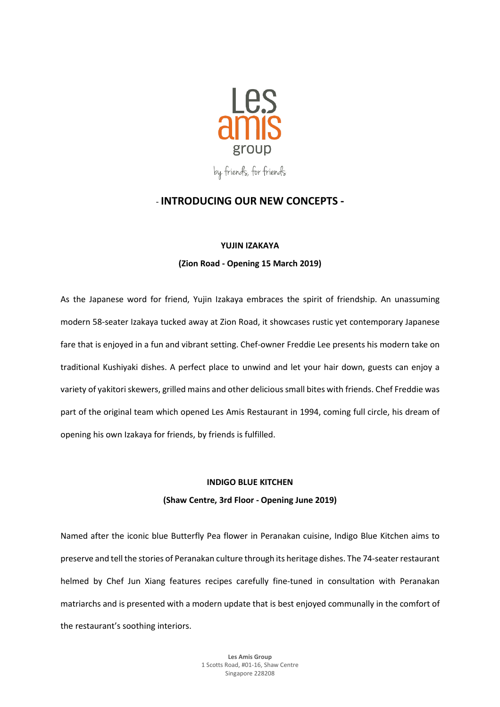

# - **INTRODUCING OUR NEW CONCEPTS -**

#### **YUJIN IZAKAYA**

#### **(Zion Road - Opening 15 March 2019)**

As the Japanese word for friend, Yujin Izakaya embraces the spirit of friendship. An unassuming modern 58-seater Izakaya tucked away at Zion Road, it showcases rustic yet contemporary Japanese fare that is enjoyed in a fun and vibrant setting. Chef-owner Freddie Lee presents his modern take on traditional Kushiyaki dishes. A perfect place to unwind and let your hair down, guests can enjoy a variety of yakitori skewers, grilled mains and other delicious small bites with friends. Chef Freddie was part of the original team which opened Les Amis Restaurant in 1994, coming full circle, his dream of opening his own Izakaya for friends, by friends is fulfilled.

## **INDIGO BLUE KITCHEN**

# **(Shaw Centre, 3rd Floor - Opening June 2019)**

Named after the iconic blue Butterfly Pea flower in Peranakan cuisine, Indigo Blue Kitchen aims to preserve and tell the stories of Peranakan culture through its heritage dishes. The 74-seaterrestaurant helmed by Chef Jun Xiang features recipes carefully fine-tuned in consultation with Peranakan matriarchs and is presented with a modern update that is best enjoyed communally in the comfort of the restaurant's soothing interiors.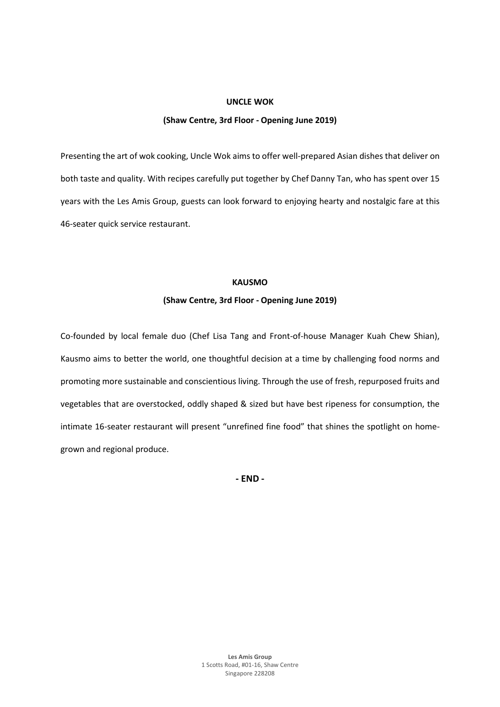#### **UNCLE WOK**

#### **(Shaw Centre, 3rd Floor - Opening June 2019)**

Presenting the art of wok cooking, Uncle Wok aims to offer well-prepared Asian dishes that deliver on both taste and quality. With recipes carefully put together by Chef Danny Tan, who has spent over 15 years with the Les Amis Group, guests can look forward to enjoying hearty and nostalgic fare at this 46-seater quick service restaurant.

### **KAUSMO**

## **(Shaw Centre, 3rd Floor - Opening June 2019)**

Co-founded by local female duo (Chef Lisa Tang and Front-of-house Manager Kuah Chew Shian), Kausmo aims to better the world, one thoughtful decision at a time by challenging food norms and promoting more sustainable and conscientious living. Through the use of fresh, repurposed fruits and vegetables that are overstocked, oddly shaped & sized but have best ripeness for consumption, the intimate 16-seater restaurant will present "unrefined fine food" that shines the spotlight on homegrown and regional produce.

**- END -**